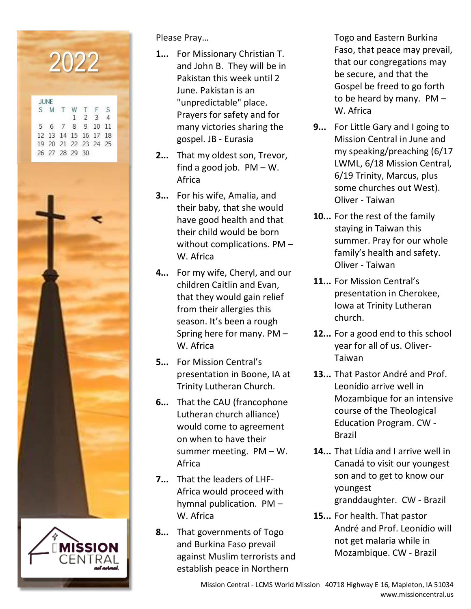

Please Pray…

- **1...** For Missionary Christian T. and John B. They will be in Pakistan this week until 2 June. Pakistan is an "unpredictable" place. Prayers for safety and for many victories sharing the gospel. JB - Eurasia
- **2...** That my oldest son, Trevor, find a good job.  $PM - W$ . Africa
- **3...** For his wife, Amalia, and their baby, that she would have good health and that their child would be born without complications. PM – W. Africa
- **4...** For my wife, Cheryl, and our children Caitlin and Evan, that they would gain relief from their allergies this season. It's been a rough Spring here for many. PM – W. Africa
- **5...** For Mission Central's presentation in Boone, IA at Trinity Lutheran Church.
- **6...** That the CAU (francophone Lutheran church alliance) would come to agreement on when to have their summer meeting. PM – W. Africa
- **7...** That the leaders of LHF-Africa would proceed with hymnal publication. PM – W. Africa
- **8...** That governments of Togo and Burkina Faso prevail against Muslim terrorists and establish peace in Northern

Togo and Eastern Burkina Faso, that peace may prevail, that our congregations may be secure, and that the Gospel be freed to go forth to be heard by many. PM – W. Africa

- **9...** For Little Gary and I going to Mission Central in June and my speaking/preaching (6/17 LWML, 6/18 Mission Central, 6/19 Trinity, Marcus, plus some churches out West). Oliver - Taiwan
- **10...** For the rest of the family staying in Taiwan this summer. Pray for our whole family's health and safety. Oliver - Taiwan
- **11...** For Mission Central's presentation in Cherokee, Iowa at Trinity Lutheran church.
- **12...** For a good end to this school year for all of us. Oliver-Taiwan
- **13...** That Pastor André and Prof. Leonídio arrive well in Mozambique for an intensive course of the Theological Education Program. CW - Brazil
- **14...** That Lídia and I arrive well in Canadá to visit our youngest son and to get to know our youngest granddaughter. CW - Brazil
- **15...** For health. That pastor André and Prof. Leonídio will not get malaria while in Mozambique. CW - Brazil